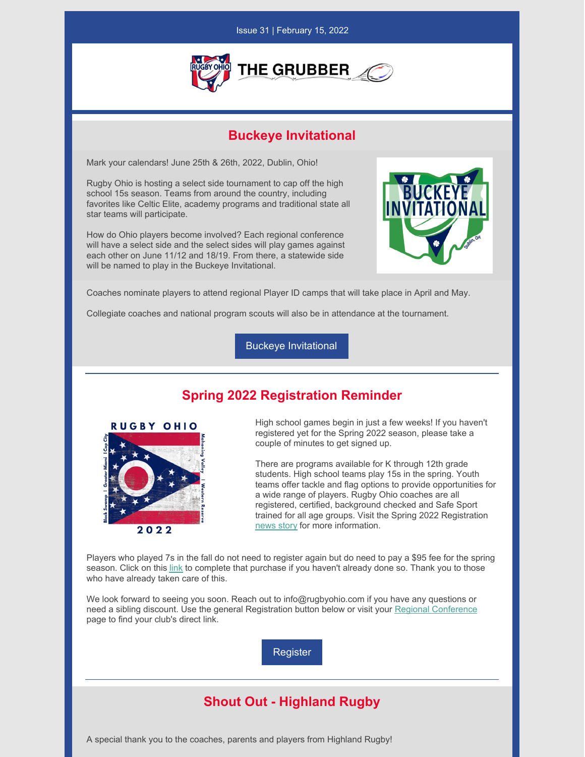### Issue 31 | February 15, 2022



## **Buckeye Invitational**

Mark your calendars! June 25th & 26th, 2022, Dublin, Ohio!

Rugby Ohio is hosting a select side tournament to cap off the high school 15s season. Teams from around the country, including favorites like Celtic Elite, academy programs and traditional state all star teams will participate.

How do Ohio players become involved? Each regional conference will have a select side and the select sides will play games against each other on June 11/12 and 18/19. From there, a statewide side will be named to play in the Buckeye Invitational.



Coaches nominate players to attend regional Player ID camps that will take place in April and May.

Collegiate coaches and national program scouts will also be in attendance at the tournament.

Buckeye [Invitational](https://rugbyohio.com/3349-2/)

# **Spring 2022 Registration Reminder**



High school games begin in just a few weeks! If you haven't registered yet for the Spring 2022 season, please take a couple of minutes to get signed up.

There are programs available for K through 12th grade students. High school teams play 15s in the spring. Youth teams offer tackle and flag options to provide opportunities for a wide range of players. Rugby Ohio coaches are all registered, certified, background checked and Safe Sport trained for all age groups. Visit the Spring 2022 Registration [news](https://rugbyohio.com/2022-spring-registration/) story for more information.

Players who played 7s in the fall do not need to register again but do need to pay a \$95 fee for the spring season. Click on this [link](https://sportsmanager.ie/sportlomo/registration/event-registration/index/6447) to complete that purchase if you haven't already done so. Thank you to those who have already taken care of this.

We look forward to seeing you soon. Reach out to info@rugbyohio.com if you have any questions or need a sibling discount. Use the general Registration button below or visit your Regional [Conference](https://rugbyohio.com/programs/regional-conferences/) page to find your club's direct link.

[Register](https://usarugby.sportlomo.com/)

# **Shout Out - Highland Rugby**

A special thank you to the coaches, parents and players from Highland Rugby!